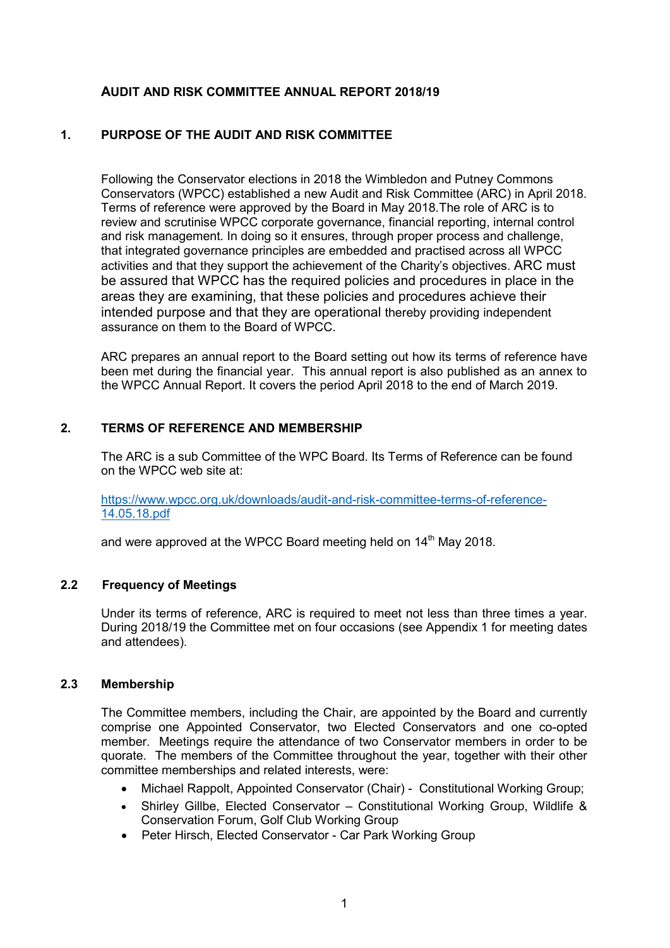## **AUDIT AND RISK COMMITTEE ANNUAL REPORT 2018/19**

### **1. PURPOSE OF THE AUDIT AND RISK COMMITTEE**

Following the Conservator elections in 2018 the Wimbledon and Putney Commons Conservators (WPCC) established a new Audit and Risk Committee (ARC) in April 2018. Terms of reference were approved by the Board in May 2018.The role of ARC is to review and scrutinise WPCC corporate governance, financial reporting, internal control and risk management. In doing so it ensures, through proper process and challenge, that integrated governance principles are embedded and practised across all WPCC activities and that they support the achievement of the Charity's objectives. ARC must be assured that WPCC has the required policies and procedures in place in the areas they are examining, that these policies and procedures achieve their intended purpose and that they are operational thereby providing independent assurance on them to the Board of WPCC.

ARC prepares an annual report to the Board setting out how its terms of reference have been met during the financial year. This annual report is also published as an annex to the WPCC Annual Report. It covers the period April 2018 to the end of March 2019.

#### **2. TERMS OF REFERENCE AND MEMBERSHIP**

The ARC is a sub Committee of the WPC Board. Its Terms of Reference can be found on the WPCC web site at:

[https://www.wpcc.org.uk/downloads/audit-and-risk-committee-terms-of-reference-](https://www.wpcc.org.uk/downloads/audit-and-risk-committee-terms-of-reference-14.05.18.pdf)[14.05.18.pdf](https://www.wpcc.org.uk/downloads/audit-and-risk-committee-terms-of-reference-14.05.18.pdf)

and were approved at the WPCC Board meeting held on 14<sup>th</sup> May 2018.

#### **2.2 Frequency of Meetings**

Under its terms of reference, ARC is required to meet not less than three times a year. During 2018/19 the Committee met on four occasions (see Appendix 1 for meeting dates and attendees).

#### **2.3 Membership**

The Committee members, including the Chair, are appointed by the Board and currently comprise one Appointed Conservator, two Elected Conservators and one co-opted member. Meetings require the attendance of two Conservator members in order to be quorate. The members of the Committee throughout the year, together with their other committee memberships and related interests, were:

- Michael Rappolt, Appointed Conservator (Chair) Constitutional Working Group;
- Shirley Gillbe, Elected Conservator Constitutional Working Group, Wildlife & Conservation Forum, Golf Club Working Group
- Peter Hirsch, Elected Conservator Car Park Working Group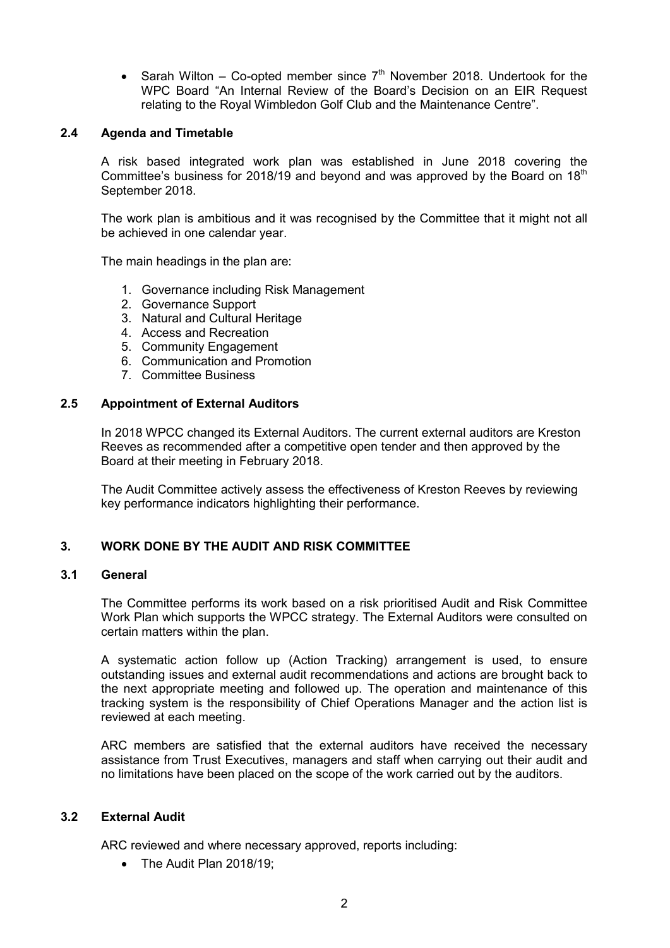• Sarah Wilton – Co-opted member since  $7<sup>th</sup>$  November 2018. Undertook for the WPC Board "An Internal Review of the Board's Decision on an EIR Request relating to the Royal Wimbledon Golf Club and the Maintenance Centre".

### **2.4 Agenda and Timetable**

A risk based integrated work plan was established in June 2018 covering the Committee's business for 2018/19 and beyond and was approved by the Board on  $18<sup>th</sup>$ September 2018.

The work plan is ambitious and it was recognised by the Committee that it might not all be achieved in one calendar year.

The main headings in the plan are:

- 1. Governance including Risk Management
- 2. Governance Support
- 3. Natural and Cultural Heritage
- 4. Access and Recreation
- 5. Community Engagement
- 6. Communication and Promotion
- 7. Committee Business

### **2.5 Appointment of External Auditors**

In 2018 WPCC changed its External Auditors. The current external auditors are Kreston Reeves as recommended after a competitive open tender and then approved by the Board at their meeting in February 2018.

The Audit Committee actively assess the effectiveness of Kreston Reeves by reviewing key performance indicators highlighting their performance.

### **3. WORK DONE BY THE AUDIT AND RISK COMMITTEE**

### **3.1 General**

The Committee performs its work based on a risk prioritised Audit and Risk Committee Work Plan which supports the WPCC strategy. The External Auditors were consulted on certain matters within the plan.

A systematic action follow up (Action Tracking) arrangement is used, to ensure outstanding issues and external audit recommendations and actions are brought back to the next appropriate meeting and followed up. The operation and maintenance of this tracking system is the responsibility of Chief Operations Manager and the action list is reviewed at each meeting.

ARC members are satisfied that the external auditors have received the necessary assistance from Trust Executives, managers and staff when carrying out their audit and no limitations have been placed on the scope of the work carried out by the auditors.

#### **3.2 External Audit**

ARC reviewed and where necessary approved, reports including:

• The Audit Plan 2018/19: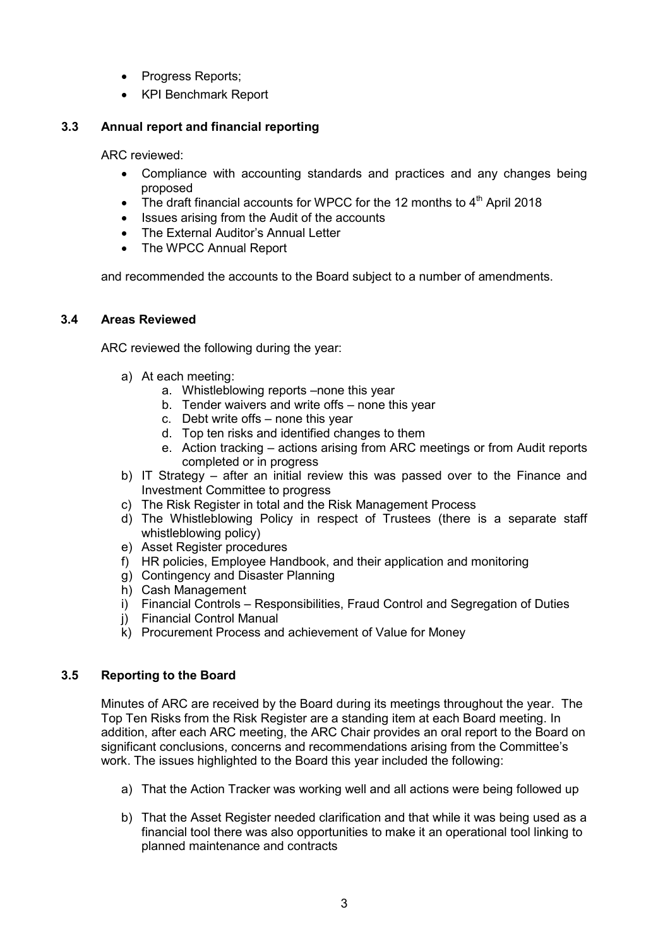- Progress Reports;
- KPI Benchmark Report

## **3.3 Annual report and financial reporting**

ARC reviewed:

- Compliance with accounting standards and practices and any changes being proposed
- The draft financial accounts for WPCC for the 12 months to  $4<sup>th</sup>$  April 2018
- Issues arising from the Audit of the accounts
- The External Auditor's Annual Letter
- The WPCC Annual Report

and recommended the accounts to the Board subject to a number of amendments.

## **3.4 Areas Reviewed**

ARC reviewed the following during the year:

- a) At each meeting:
	- a. Whistleblowing reports –none this year
	- b. Tender waivers and write offs none this year
	- c. Debt write offs none this year
	- d. Top ten risks and identified changes to them
	- e. Action tracking actions arising from ARC meetings or from Audit reports completed or in progress
- b) IT Strategy after an initial review this was passed over to the Finance and Investment Committee to progress
- c) The Risk Register in total and the Risk Management Process
- d) The Whistleblowing Policy in respect of Trustees (there is a separate staff whistleblowing policy)
- e) Asset Register procedures
- f) HR policies, Employee Handbook, and their application and monitoring
- g) Contingency and Disaster Planning
- h) Cash Management
- i) Financial Controls Responsibilities, Fraud Control and Segregation of Duties
- j) Financial Control Manual
- k) Procurement Process and achievement of Value for Money

## **3.5 Reporting to the Board**

Minutes of ARC are received by the Board during its meetings throughout the year. The Top Ten Risks from the Risk Register are a standing item at each Board meeting. In addition, after each ARC meeting, the ARC Chair provides an oral report to the Board on significant conclusions, concerns and recommendations arising from the Committee's work. The issues highlighted to the Board this year included the following:

- a) That the Action Tracker was working well and all actions were being followed up
- b) That the Asset Register needed clarification and that while it was being used as a financial tool there was also opportunities to make it an operational tool linking to planned maintenance and contracts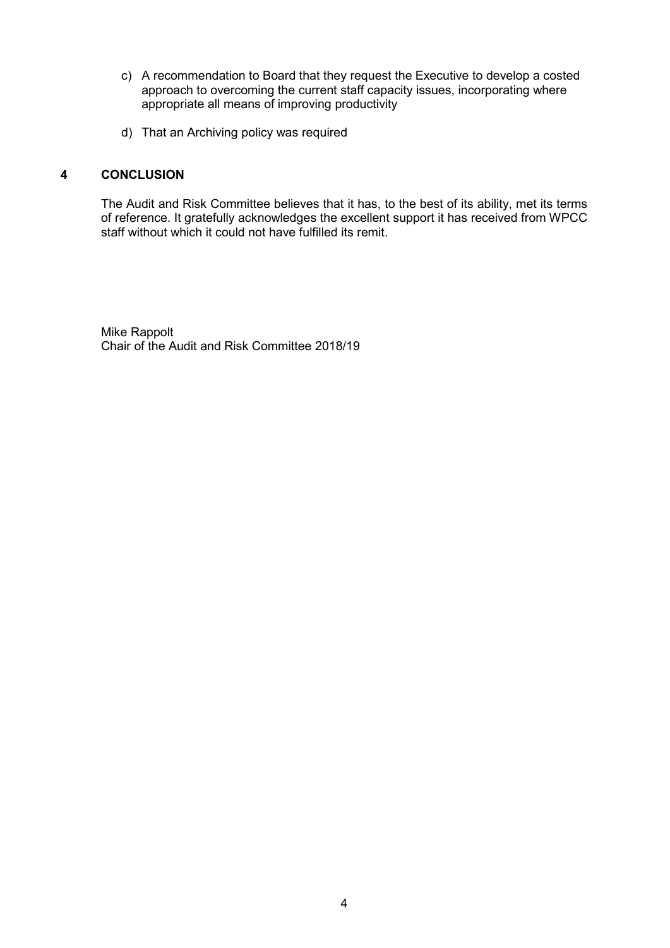- c) A recommendation to Board that they request the Executive to develop a costed approach to overcoming the current staff capacity issues, incorporating where appropriate all means of improving productivity
- d) That an Archiving policy was required

### **4 CONCLUSION**

The Audit and Risk Committee believes that it has, to the best of its ability, met its terms of reference. It gratefully acknowledges the excellent support it has received from WPCC staff without which it could not have fulfilled its remit.

Mike Rappolt Chair of the Audit and Risk Committee 2018/19